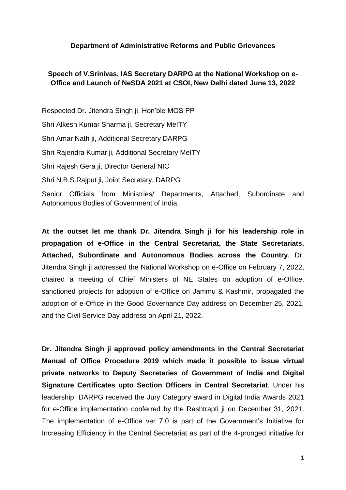## **Department of Administrative Reforms and Public Grievances**

## **Speech of V.Srinivas, IAS Secretary DARPG at the National Workshop on e-Office and Launch of NeSDA 2021 at CSOI, New Delhi dated June 13, 2022**

Respected Dr. Jitendra Singh ji, Hon'ble MOS PP Shri Alkesh Kumar Sharma ji, Secretary MeITY Shri Amar Nath ji, Additional Secretary DARPG Shri Rajendra Kumar ji, Additional Secretary MeITY Shri Rajesh Gera ji, Director General NIC Shri N.B.S.Rajput ji, Joint Secretary, DARPG Senior Officials from Ministries/ Departments, Attached, Subordinate and Autonomous Bodies of Government of India,

**At the outset let me thank Dr. Jitendra Singh ji for his leadership role in propagation of e-Office in the Central Secretariat, the State Secretariats, Attached, Subordinate and Autonomous Bodies across the Country**. Dr. Jitendra Singh ji addressed the National Workshop on e-Office on February 7, 2022, chaired a meeting of Chief Ministers of NE States on adoption of e-Office, sanctioned projects for adoption of e-Office on Jammu & Kashmir, propagated the adoption of e-Office in the Good Governance Day address on December 25, 2021, and the Civil Service Day address on April 21, 2022.

**Dr. Jitendra Singh ji approved policy amendments in the Central Secretariat Manual of Office Procedure 2019 which made it possible to issue virtual private networks to Deputy Secretaries of Government of India and Digital Signature Certificates upto Section Officers in Central Secretariat**. Under his leadership, DARPG received the Jury Category award in Digital India Awards 2021 for e-Office implementation conferred by the Rashtrapti ji on December 31, 2021. The implementation of e-Office ver 7.0 is part of the Government's Initiative for Increasing Efficiency in the Central Secretariat as part of the 4-pronged initiative for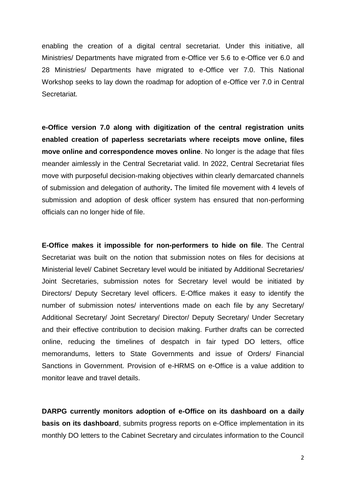enabling the creation of a digital central secretariat. Under this initiative, all Ministries/ Departments have migrated from e-Office ver 5.6 to e-Office ver 6.0 and 28 Ministries/ Departments have migrated to e-Office ver 7.0. This National Workshop seeks to lay down the roadmap for adoption of e-Office ver 7.0 in Central Secretariat.

**e-Office version 7.0 along with digitization of the central registration units enabled creation of paperless secretariats where receipts move online, files move online and correspondence moves online**. No longer is the adage that files meander aimlessly in the Central Secretariat valid. In 2022, Central Secretariat files move with purposeful decision-making objectives within clearly demarcated channels of submission and delegation of authority**.** The limited file movement with 4 levels of submission and adoption of desk officer system has ensured that non-performing officials can no longer hide of file.

**E-Office makes it impossible for non-performers to hide on file**. The Central Secretariat was built on the notion that submission notes on files for decisions at Ministerial level/ Cabinet Secretary level would be initiated by Additional Secretaries/ Joint Secretaries, submission notes for Secretary level would be initiated by Directors/ Deputy Secretary level officers. E-Office makes it easy to identify the number of submission notes/ interventions made on each file by any Secretary/ Additional Secretary/ Joint Secretary/ Director/ Deputy Secretary/ Under Secretary and their effective contribution to decision making. Further drafts can be corrected online, reducing the timelines of despatch in fair typed DO letters, office memorandums, letters to State Governments and issue of Orders/ Financial Sanctions in Government. Provision of e-HRMS on e-Office is a value addition to monitor leave and travel details.

**DARPG currently monitors adoption of e-Office on its dashboard on a daily basis on its dashboard**, submits progress reports on e-Office implementation in its monthly DO letters to the Cabinet Secretary and circulates information to the Council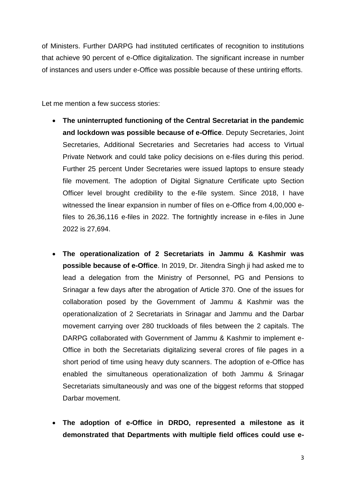of Ministers. Further DARPG had instituted certificates of recognition to institutions that achieve 90 percent of e-Office digitalization. The significant increase in number of instances and users under e-Office was possible because of these untiring efforts.

Let me mention a few success stories:

- **The uninterrupted functioning of the Central Secretariat in the pandemic and lockdown was possible because of e-Office**. Deputy Secretaries, Joint Secretaries, Additional Secretaries and Secretaries had access to Virtual Private Network and could take policy decisions on e-files during this period. Further 25 percent Under Secretaries were issued laptops to ensure steady file movement. The adoption of Digital Signature Certificate upto Section Officer level brought credibility to the e-file system. Since 2018, I have witnessed the linear expansion in number of files on e-Office from 4,00,000 efiles to 26,36,116 e-files in 2022. The fortnightly increase in e-files in June 2022 is 27,694.
- **The operationalization of 2 Secretariats in Jammu & Kashmir was possible because of e-Office**. In 2019, Dr. Jitendra Singh ji had asked me to lead a delegation from the Ministry of Personnel, PG and Pensions to Srinagar a few days after the abrogation of Article 370. One of the issues for collaboration posed by the Government of Jammu & Kashmir was the operationalization of 2 Secretariats in Srinagar and Jammu and the Darbar movement carrying over 280 truckloads of files between the 2 capitals. The DARPG collaborated with Government of Jammu & Kashmir to implement e-Office in both the Secretariats digitalizing several crores of file pages in a short period of time using heavy duty scanners. The adoption of e-Office has enabled the simultaneous operationalization of both Jammu & Srinagar Secretariats simultaneously and was one of the biggest reforms that stopped Darbar movement.
- **The adoption of e-Office in DRDO, represented a milestone as it demonstrated that Departments with multiple field offices could use e-**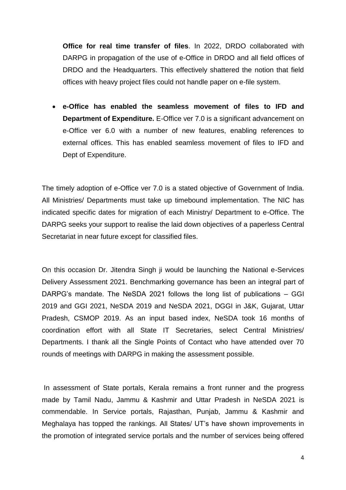**Office for real time transfer of files**. In 2022, DRDO collaborated with DARPG in propagation of the use of e-Office in DRDO and all field offices of DRDO and the Headquarters. This effectively shattered the notion that field offices with heavy project files could not handle paper on e-file system.

 **e-Office has enabled the seamless movement of files to IFD and Department of Expenditure.** E-Office ver 7.0 is a significant advancement on e-Office ver 6.0 with a number of new features, enabling references to external offices. This has enabled seamless movement of files to IFD and Dept of Expenditure.

The timely adoption of e-Office ver 7.0 is a stated objective of Government of India. All Ministries/ Departments must take up timebound implementation. The NIC has indicated specific dates for migration of each Ministry/ Department to e-Office. The DARPG seeks your support to realise the laid down objectives of a paperless Central Secretariat in near future except for classified files.

On this occasion Dr. Jitendra Singh ji would be launching the National e-Services Delivery Assessment 2021. Benchmarking governance has been an integral part of DARPG's mandate. The NeSDA 2021 follows the long list of publications – GGI 2019 and GGI 2021, NeSDA 2019 and NeSDA 2021, DGGI in J&K, Gujarat, Uttar Pradesh, CSMOP 2019. As an input based index, NeSDA took 16 months of coordination effort with all State IT Secretaries, select Central Ministries/ Departments. I thank all the Single Points of Contact who have attended over 70 rounds of meetings with DARPG in making the assessment possible.

In assessment of State portals, Kerala remains a front runner and the progress made by Tamil Nadu, Jammu & Kashmir and Uttar Pradesh in NeSDA 2021 is commendable. In Service portals, Rajasthan, Punjab, Jammu & Kashmir and Meghalaya has topped the rankings. All States/ UT's have shown improvements in the promotion of integrated service portals and the number of services being offered